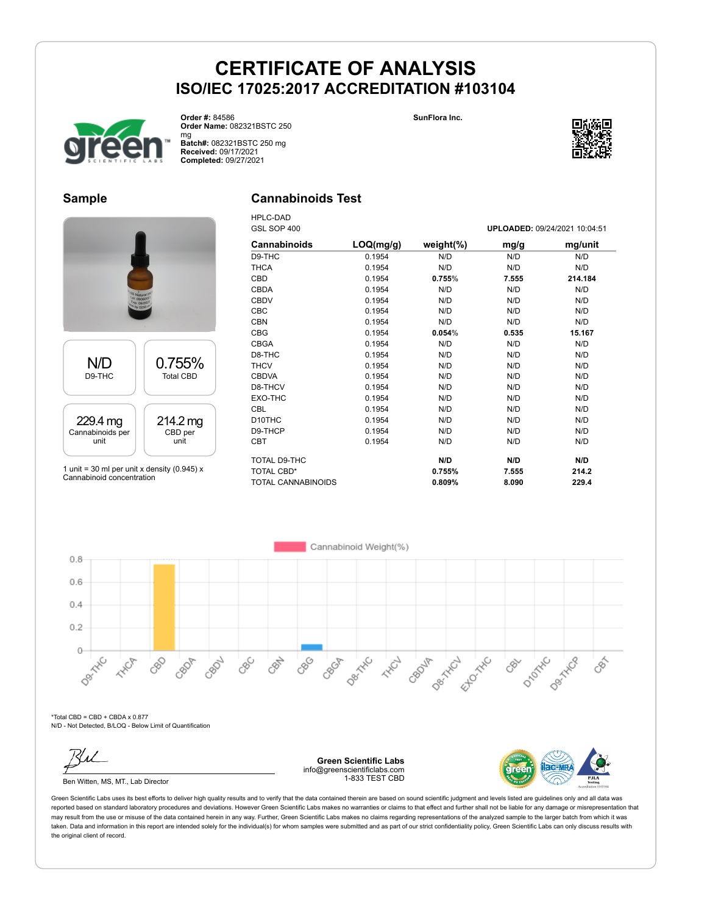**SunFlora Inc.**



**Order #:** 84586 **Order Name:** 082321BSTC 250 mg

**Batch#:** 082321BSTC 250 mg **Received:** 09/17/2021 **Completed:** 09/27/2021

### **Sample**

#### **Cannabinoids Test** HPLC-DAD



1 unit = 30 ml per unit x density (0.945)  $x$ Cannabinoid concentration

| GSL SOP 400               |           |               |       | UPLOADED: 09/24/2021 10:04:51 |
|---------------------------|-----------|---------------|-------|-------------------------------|
| <b>Cannabinoids</b>       | LOQ(mg/g) | weight $(\%)$ | mg/g  | mg/unit                       |
| D9-THC                    | 0.1954    | N/D           | N/D   | N/D                           |
| <b>THCA</b>               | 0.1954    | N/D           | N/D   | N/D                           |
| CBD                       | 0.1954    | 0.755%        | 7.555 | 214.184                       |
| <b>CBDA</b>               | 0.1954    | N/D           | N/D   | N/D                           |
| <b>CBDV</b>               | 0.1954    | N/D           | N/D   | N/D                           |
| <b>CBC</b>                | 0.1954    | N/D           | N/D   | N/D                           |
| <b>CBN</b>                | 0.1954    | N/D           | N/D   | N/D                           |
| <b>CBG</b>                | 0.1954    | 0.054%        | 0.535 | 15.167                        |
| <b>CBGA</b>               | 0.1954    | N/D           | N/D   | N/D                           |
| D8-THC                    | 0.1954    | N/D           | N/D   | N/D                           |
| <b>THCV</b>               | 0.1954    | N/D           | N/D   | N/D                           |
| <b>CBDVA</b>              | 0.1954    | N/D           | N/D   | N/D                           |
| D8-THCV                   | 0.1954    | N/D           | N/D   | N/D                           |
| EXO-THC                   | 0.1954    | N/D           | N/D   | N/D                           |
| CBL                       | 0.1954    | N/D           | N/D   | N/D                           |
| D <sub>10</sub> THC       | 0.1954    | N/D           | N/D   | N/D                           |
| D9-THCP                   | 0.1954    | N/D           | N/D   | N/D                           |
| <b>CBT</b>                | 0.1954    | N/D           | N/D   | N/D                           |
| TOTAL D9-THC              |           | N/D           | N/D   | N/D                           |
| <b>TOTAL CBD*</b>         |           | 0.755%        | 7.555 | 214.2                         |
| <b>TOTAL CANNABINOIDS</b> |           | 0.809%        | 8.090 | 229.4                         |

Cannabinoid Weight(%)  $0.8$  $0.6$  $0.4$  $0.2$ Der Trich  $\circ$ Desired 880 **Hydr** D<sub>ROTATIC</sub> Desired CBC CRAY CBOJA Ellowski Dentron CBON Cecha **HAVE** 88 CBOP CBS CBY

 $*$ Total CBD = CBD + CBDA x 0.877 N/D - Not Detected, B/LOQ - Below Limit of Quantification

Ben Witten, MS, MT., Lab Director

**Green Scientific Labs** info@greenscientificlabs.com 1-833 TEST CBD



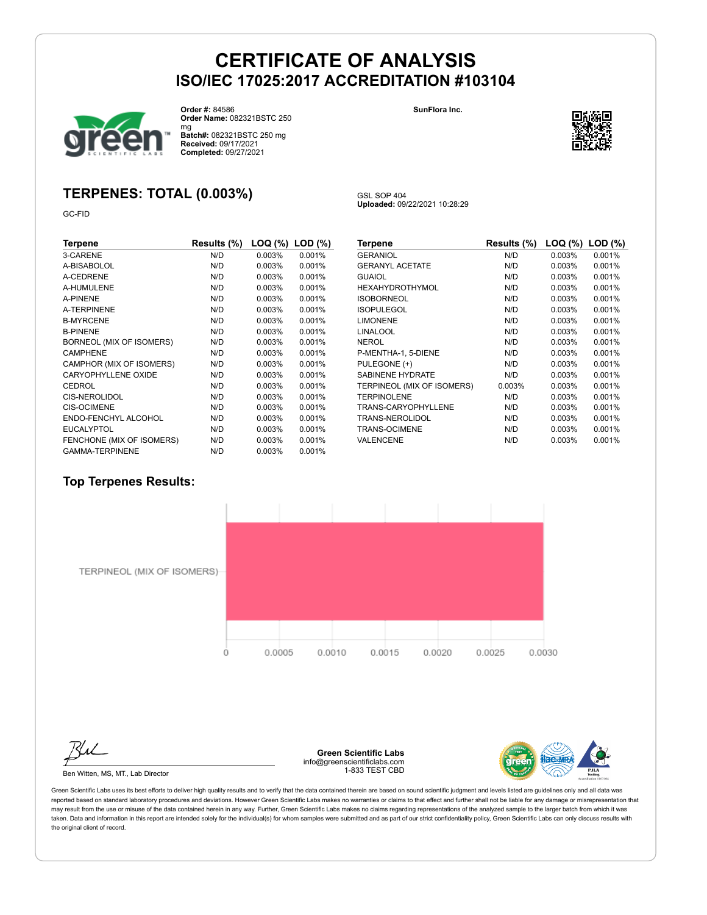

**Order #:** 84586

**Order Name:** 082321BSTC 250

mg **Batch#:** 082321BSTC 250 mg **Received:** 09/17/2021 **Completed:** 09/27/2021

### **TERPENES: TOTAL (0.003%)**

GC-FID

| Terpene                    | Results (%) | LOQ (%)   | $LOD$ $(\%)$ |
|----------------------------|-------------|-----------|--------------|
| 3-CARENE                   | N/D         | 0.003%    | 0.001%       |
| A-BISABOLOL                | N/D         | 0.003%    | 0.001%       |
| A-CEDRENE                  | N/D         | $0.003\%$ | 0.001%       |
| A-HUMULENE                 | N/D         | $0.003\%$ | 0.001%       |
| A-PINENE                   | N/D         | $0.003\%$ | 0.001%       |
| <b>A-TERPINENE</b>         | N/D         | $0.003\%$ | 0.001%       |
| <b>B-MYRCENE</b>           | N/D         | $0.003\%$ | 0.001%       |
| <b>B-PINENE</b>            | N/D         | 0.003%    | 0.001%       |
| BORNEOL (MIX OF ISOMERS)   | N/D         | 0.003%    | 0.001%       |
| <b>CAMPHENE</b>            | N/D         | 0.003%    | 0.001%       |
| CAMPHOR (MIX OF ISOMERS)   | N/D         | 0.003%    | 0.001%       |
| <b>CARYOPHYLLENE OXIDE</b> | N/D         | 0.003%    | 0.001%       |
| CEDROL                     | N/D         | 0.003%    | 0.001%       |
| CIS-NEROLIDOL              | N/D         | 0.003%    | 0.001%       |
| <b>CIS-OCIMENE</b>         | N/D         | $0.003\%$ | 0.001%       |
| ENDO-FENCHYL ALCOHOL       | N/D         | 0.003%    | 0.001%       |
| <b>EUCALYPTOL</b>          | N/D         | $0.003\%$ | 0.001%       |
| FENCHONE (MIX OF ISOMERS)  | N/D         | $0.003\%$ | 0.001%       |
| <b>GAMMA-TERPINENE</b>     | N/D         | 0.003%    | 0.001%       |

| Terpene                    | Results (%) | LOQ (%) | $LOD$ $(\%)$ |
|----------------------------|-------------|---------|--------------|
| <b>GERANIOL</b>            | N/D         | 0.003%  | 0.001%       |
| <b>GERANYL ACETATE</b>     | N/D         | 0.003%  | 0.001%       |
| <b>GUAIOL</b>              | N/D         | 0.003%  | 0.001%       |
| <b>HEXAHYDROTHYMOL</b>     | N/D         | 0.003%  | 0.001%       |
| <b>ISOBORNEOL</b>          | N/D         | 0.003%  | 0.001%       |
| <b>ISOPULEGOL</b>          | N/D         | 0.003%  | 0.001%       |
| <b>LIMONENE</b>            | N/D         | 0.003%  | 0.001%       |
| <b>LINALOOL</b>            | N/D         | 0.003%  | 0.001%       |
| <b>NEROL</b>               | N/D         | 0.003%  | 0.001%       |
| P-MENTHA-1, 5-DIENE        | N/D         | 0.003%  | 0.001%       |
| PULEGONE (+)               | N/D         | 0.003%  | 0.001%       |
| <b>SABINENE HYDRATE</b>    | N/D         | 0.003%  | 0.001%       |
| TERPINEOL (MIX OF ISOMERS) | 0.003%      | 0.003%  | 0.001%       |
| <b>TERPINOLENE</b>         | N/D         | 0.003%  | 0.001%       |
| <b>TRANS-CARYOPHYLLENE</b> | N/D         | 0.003%  | 0.001%       |
| TRANS-NEROLIDOL            | N/D         | 0.003%  | 0.001%       |
| <b>TRANS-OCIMENE</b>       | N/D         | 0.003%  | 0.001%       |
| VALENCENE                  | N/D         | 0.003%  | 0.001%       |

#### **Top Terpenes Results:**



TERPINEOL (MIX OF ISOMERS)-



Ben Witten, MS, MT., Lab Director

**Green Scientific Labs** info@greenscientificlabs.com 1-833 TEST CBD



Green Scientific Labs uses its best efforts to deliver high quality results and to verify that the data contained therein are based on sound scientific judgment and levels listed are guidelines only and all data was reported based on standard laboratory procedures and deviations. However Green Scientific Labs makes no warranties or claims to that effect and further shall not be liable for any damage or misrepresentation that may result from the use or misuse of the data contained herein in any way. Further, Green Scientific Labs makes no claims regarding representations of the analyzed sample to the larger batch from which it was taken. Data and information in this report are intended solely for the individual(s) for whom samples were submitted and as part of our strict confidentiality policy, Green Scientific Labs can only discuss results with the original client of record.



GSL SOP 404 **Uploaded:** 09/22/2021 10:28:29

**SunFlora Inc.**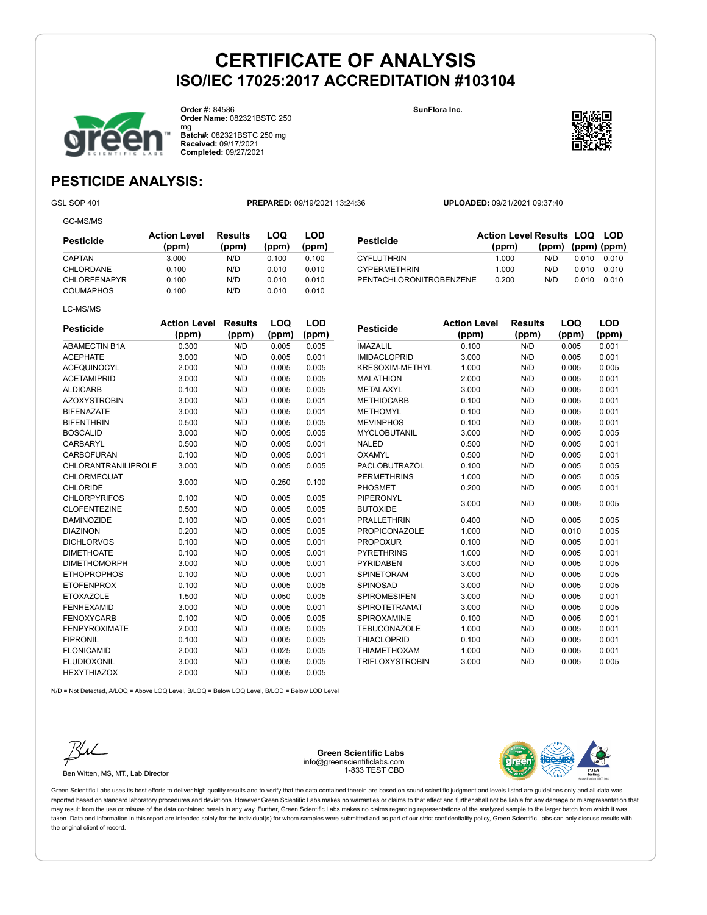

**Order #:** 84586 **Order Name:** 082321BSTC 250 **SunFlora Inc.**



mg **Batch#:** 082321BSTC 250 mg **Received:** 09/17/2021 **Completed:** 09/27/2021

### **PESTICIDE ANALYSIS:**

GC-MS/MS

GSL SOP 401 **PREPARED:** 09/19/2021 13:24:36 **UPLOADED:** 09/21/2021 09:37:40

| Pesticide           | <b>Action Level</b><br>(ppm) | Results<br>(ppm) | LOQ<br>(ppm) | LOD<br>(ppm) |
|---------------------|------------------------------|------------------|--------------|--------------|
| CAPTAN              | 3.000                        | N/D              | 0.100        | 0.100        |
| CHLORDANE           | 0.100                        | N/D              | 0.010        | 0.010        |
| <b>CHLORFENAPYR</b> | 0.100                        | N/D              | 0.010        | 0.010        |
| <b>COUMAPHOS</b>    | 0.100                        | N/D              | 0.010        | 0.010        |
| LC-MS/MS            |                              |                  |              |              |

| Pesticide               | <b>Action Level Results LOQ LOD</b> |                         |       |           |
|-------------------------|-------------------------------------|-------------------------|-------|-----------|
|                         | (ppm)                               | $(ppm)$ $(ppm)$ $(ppm)$ |       |           |
| <b>CYFLUTHRIN</b>       | 1.000                               | N/D.                    | 0.010 | 0.010     |
| <b>CYPERMETHRIN</b>     | 1.000                               | N/D.                    | 0.010 | _ ი ი 1 ი |
| PENTACHLORONITROBENZENE | 0.200                               | N/D                     | 0.010 |           |

| <b>Pesticide</b>           | <b>Action Level</b> | <b>Results</b> | LOQ   | LOD   |
|----------------------------|---------------------|----------------|-------|-------|
|                            | (ppm)               | (ppm)          | (ppm) | (ppm) |
| <b>ABAMECTIN B1A</b>       | 0.300               | N/D            | 0.005 | 0.005 |
| <b>ACEPHATE</b>            | 3.000               | N/D            | 0.005 | 0.001 |
| <b>ACEQUINOCYL</b>         | 2.000               | N/D            | 0.005 | 0.005 |
| <b>ACETAMIPRID</b>         | 3.000               | N/D            | 0.005 | 0.005 |
| <b>ALDICARB</b>            | 0.100               | N/D            | 0.005 | 0.005 |
| <b>AZOXYSTROBIN</b>        | 3.000               | N/D            | 0.005 | 0.001 |
| <b>BIFENAZATE</b>          | 3.000               | N/D            | 0.005 | 0.001 |
| <b>BIFENTHRIN</b>          | 0.500               | N/D            | 0.005 | 0.005 |
| <b>BOSCALID</b>            | 3.000               | N/D            | 0.005 | 0.005 |
| CARBARYL                   | 0.500               | N/D            | 0.005 | 0.001 |
| <b>CARBOFURAN</b>          | 0.100               | N/D            | 0.005 | 0.001 |
| <b>CHLORANTRANILIPROLE</b> | 3.000               | N/D            | 0.005 | 0.005 |
| <b>CHLORMEQUAT</b>         | 3.000               |                |       |       |
| <b>CHLORIDE</b>            |                     | N/D            | 0.250 | 0.100 |
| <b>CHLORPYRIFOS</b>        | 0.100               | N/D            | 0.005 | 0.005 |
| <b>CLOFENTEZINE</b>        | 0.500               | N/D            | 0.005 | 0.005 |
| <b>DAMINOZIDE</b>          | 0.100               | N/D            | 0.005 | 0.001 |
| <b>DIAZINON</b>            | 0.200               | N/D            | 0.005 | 0.005 |
| <b>DICHLORVOS</b>          | 0.100               | N/D            | 0.005 | 0.001 |
| <b>DIMETHOATE</b>          | 0.100               | N/D            | 0.005 | 0.001 |
| <b>DIMETHOMORPH</b>        | 3.000               | N/D            | 0.005 | 0.001 |
| <b>ETHOPROPHOS</b>         | 0.100               | N/D            | 0.005 | 0.001 |
| <b>ETOFENPROX</b>          | 0.100               | N/D            | 0.005 | 0.005 |
| <b>ETOXAZOLE</b>           | 1.500               | N/D            | 0.050 | 0.005 |
| <b>FENHEXAMID</b>          | 3.000               | N/D            | 0.005 | 0.001 |
| <b>FENOXYCARB</b>          | 0.100               | N/D            | 0.005 | 0.005 |
| <b>FENPYROXIMATE</b>       | 2.000               | N/D            | 0.005 | 0.005 |
| <b>FIPRONIL</b>            | 0.100               | N/D            | 0.005 | 0.005 |
| <b>FLONICAMID</b>          | 2.000               | N/D            | 0.025 | 0.005 |
| <b>FLUDIOXONIL</b>         | 3.000               | N/D            | 0.005 | 0.005 |
| <b>HEXYTHIAZOX</b>         | 2.000               | N/D            | 0.005 | 0.005 |

| Pesticide              | <b>Action Level</b> | <b>Results</b> | LOQ   | LOD   |
|------------------------|---------------------|----------------|-------|-------|
|                        | (ppm)               | (ppm)          | (ppm) | (ppm) |
| <b>IMAZALIL</b>        | 0.100               | N/D            | 0.005 | 0.001 |
| <b>IMIDACLOPRID</b>    | 3.000               | N/D            | 0.005 | 0.001 |
| <b>KRESOXIM-METHYL</b> | 1.000               | N/D            | 0.005 | 0.005 |
| <b>MALATHION</b>       | 2.000               | N/D            | 0.005 | 0.001 |
| METALAXYL              | 3.000               | N/D            | 0.005 | 0.001 |
| <b>METHIOCARB</b>      | 0.100               | N/D            | 0.005 | 0.001 |
| <b>METHOMYL</b>        | 0.100               | N/D            | 0.005 | 0.001 |
| <b>MEVINPHOS</b>       | 0.100               | N/D            | 0.005 | 0.001 |
| <b>MYCLOBUTANIL</b>    | 3.000               | N/D            | 0.005 | 0.005 |
| <b>NALED</b>           | 0.500               | N/D            | 0.005 | 0.001 |
| <b>OXAMYL</b>          | 0.500               | N/D            | 0.005 | 0.001 |
| <b>PACLOBUTRAZOL</b>   | 0.100               | N/D            | 0.005 | 0.005 |
| <b>PERMETHRINS</b>     | 1.000               | N/D            | 0.005 | 0.005 |
| <b>PHOSMET</b>         | 0.200               | N/D            | 0.005 | 0.001 |
| PIPERONYL              | 3.000               | N/D            |       |       |
| <b>BUTOXIDE</b>        |                     |                | 0.005 | 0.005 |
| <b>PRALLETHRIN</b>     | 0.400               | N/D            | 0.005 | 0.005 |
| <b>PROPICONAZOLE</b>   | 1.000               | N/D            | 0.010 | 0.005 |
| <b>PROPOXUR</b>        | 0.100               | N/D            | 0.005 | 0.001 |
| <b>PYRETHRINS</b>      | 1.000               | N/D            | 0.005 | 0.001 |
| <b>PYRIDABEN</b>       | 3.000               | N/D            | 0.005 | 0.005 |
| SPINETORAM             | 3.000               | N/D            | 0.005 | 0.005 |
| SPINOSAD               | 3.000               | N/D            | 0.005 | 0.005 |
| <b>SPIROMESIFEN</b>    | 3.000               | N/D            | 0.005 | 0.001 |
| SPIROTETRAMAT          | 3.000               | N/D            | 0.005 | 0.005 |
| SPIROXAMINE            | 0.100               | N/D            | 0.005 | 0.001 |
| <b>TEBUCONAZOLE</b>    | 1.000               | N/D            | 0.005 | 0.001 |
| <b>THIACLOPRID</b>     | 0.100               | N/D            | 0.005 | 0.001 |
| <b>THIAMETHOXAM</b>    | 1.000               | N/D            | 0.005 | 0.001 |
| <b>TRIFLOXYSTROBIN</b> | 3.000               | N/D            | 0.005 | 0.005 |

N/D = Not Detected, A/LOQ = Above LOQ Level, B/LOQ = Below LOQ Level, B/LOD = Below LOD Level



Ben Witten, MS, MT., Lab Director

**Green Scientific Labs** info@greenscientificlabs.com 1-833 TEST CBD

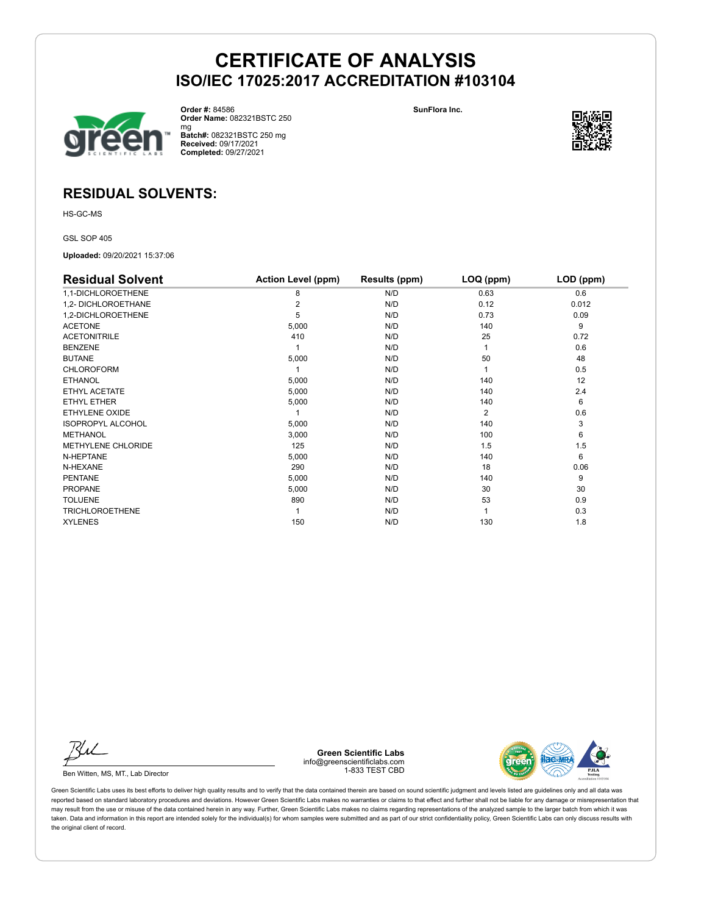

**Order #:** 84586 **Order Name:** 082321BSTC 250 **SunFlora Inc.**



mg **Batch#:** 082321BSTC 250 mg **Received:** 09/17/2021 **Completed:** 09/27/2021

### **RESIDUAL SOLVENTS:**

HS-GC-MS

GSL SOP 405

**Uploaded:** 09/20/2021 15:37:06

| <b>Residual Solvent</b>  | <b>Action Level (ppm)</b> | Results (ppm) | LOQ (ppm)      | LOD (ppm) |
|--------------------------|---------------------------|---------------|----------------|-----------|
| 1,1-DICHLOROETHENE       | 8                         | N/D           | 0.63           | 0.6       |
| 1,2- DICHLOROETHANE      |                           | N/D           | 0.12           | 0.012     |
| 1,2-DICHLOROETHENE       | 5                         | N/D           | 0.73           | 0.09      |
| <b>ACETONE</b>           | 5,000                     | N/D           | 140            | 9         |
| <b>ACETONITRILE</b>      | 410                       | N/D           | 25             | 0.72      |
| <b>BENZENE</b>           |                           | N/D           |                | 0.6       |
| <b>BUTANE</b>            | 5,000                     | N/D           | 50             | 48        |
| CHLOROFORM               |                           | N/D           |                | 0.5       |
| <b>ETHANOL</b>           | 5,000                     | N/D           | 140            | 12        |
| ETHYL ACETATE            | 5,000                     | N/D           | 140            | 2.4       |
| ETHYL ETHER              | 5,000                     | N/D           | 140            | 6         |
| ETHYLENE OXIDE           |                           | N/D           | $\overline{2}$ | 0.6       |
| <b>ISOPROPYL ALCOHOL</b> | 5,000                     | N/D           | 140            | 3         |
| <b>METHANOL</b>          | 3,000                     | N/D           | 100            | 6         |
| METHYLENE CHLORIDE       | 125                       | N/D           | 1.5            | 1.5       |
| N-HEPTANE                | 5,000                     | N/D           | 140            | 6         |
| N-HEXANE                 | 290                       | N/D           | 18             | 0.06      |
| <b>PENTANE</b>           | 5,000                     | N/D           | 140            | 9         |
| <b>PROPANE</b>           | 5,000                     | N/D           | 30             | 30        |
| <b>TOLUENE</b>           | 890                       | N/D           | 53             | 0.9       |
| <b>TRICHLOROETHENE</b>   |                           | N/D           |                | 0.3       |
| <b>XYLENES</b>           | 150                       | N/D           | 130            | 1.8       |

Ku

Ben Witten, MS, MT., Lab Director

**Green Scientific Labs** info@greenscientificlabs.com 1-833 TEST CBD

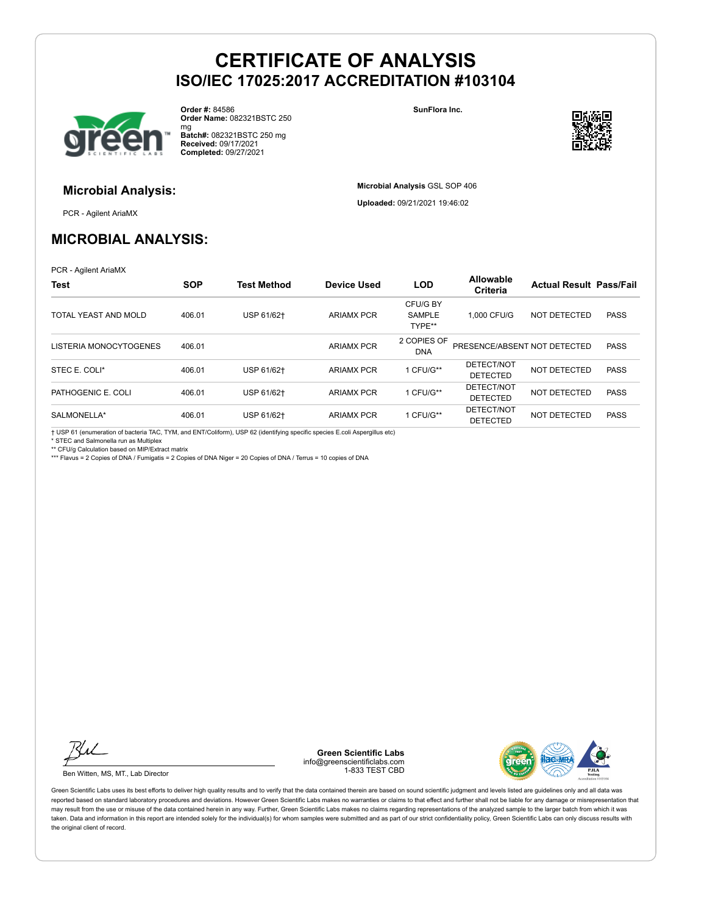

**Microbial Analysis:**

**Order #:** 84586 **Order Name:** 082321BSTC 250 **SunFlora Inc.**



mg **Batch#:** 082321BSTC 250 mg **Received:** 09/17/2021 **Completed:** 09/27/2021

> **Microbial Analysis** GSL SOP 406 **Uploaded:** 09/21/2021 19:46:02

PCR - Agilent AriaMX

### **MICROBIAL ANALYSIS:**

PCR - Agilent AriaMX

| Test                   | <b>SOP</b> | <b>Test Method</b> | Device Used       | <b>LOD</b>                   | Allowable<br><b>Criteria</b>  | <b>Actual Result Pass/Fail</b> |             |
|------------------------|------------|--------------------|-------------------|------------------------------|-------------------------------|--------------------------------|-------------|
| TOTAL YEAST AND MOLD   | 406.01     | USP 61/62+         | <b>ARIAMX PCR</b> | CFU/G BY<br>SAMPLE<br>TYPE** | 1.000 CFU/G                   | NOT DETECTED                   | <b>PASS</b> |
| LISTERIA MONOCYTOGENES | 406.01     |                    | <b>ARIAMX PCR</b> | 2 COPIES OF<br><b>DNA</b>    | PRESENCE/ABSENT NOT DETECTED  |                                | <b>PASS</b> |
| STEC E. COLI*          | 406.01     | USP 61/62+         | <b>ARIAMX PCR</b> | 1 CFU/G**                    | DETECT/NOT<br><b>DETECTED</b> | NOT DETECTED                   | <b>PASS</b> |
| PATHOGENIC E. COLI     | 406.01     | USP 61/62+         | <b>ARIAMX PCR</b> | 1 CFU/G**                    | DETECT/NOT<br><b>DETECTED</b> | NOT DETECTED                   | <b>PASS</b> |
| SALMONELLA*            | 406.01     | USP 61/62+         | <b>ARIAMX PCR</b> | 1 CFU/G**                    | DETECT/NOT<br><b>DETECTED</b> | NOT DETECTED                   | <b>PASS</b> |

† USP 61 (enumeration of bacteria TAC, TYM, and ENT/Coliform), USP 62 (identifying specific species E.coli Aspergillus etc)

\* STEC and Salmonella run as Multiplex

\*\* CFU/g Calculation based on MIP/Extract matrix

\*\*\* Flavus = 2 Copies of DNA / Fumigatis = 2 Copies of DNA Niger = 20 Copies of DNA / Terrus = 10 copies of DNA

Ku

Ben Witten, MS, MT., Lab Director

**Green Scientific Labs** info@greenscientificlabs.com 1-833 TEST CBD